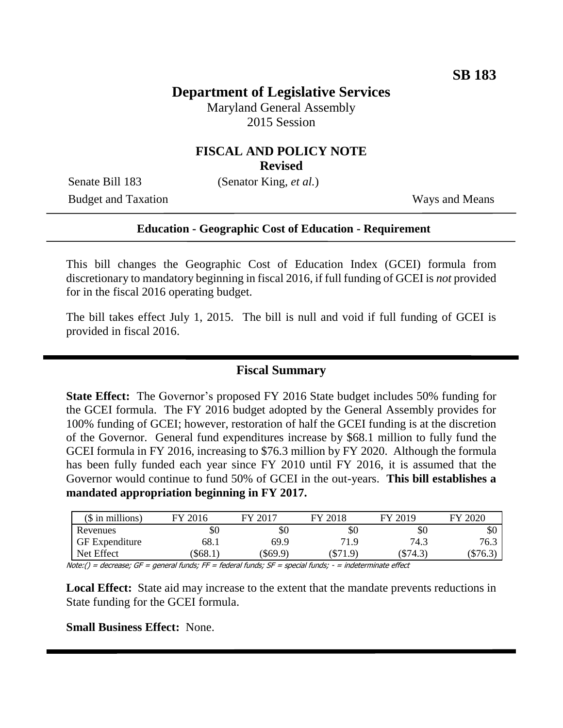## **Department of Legislative Services**

Maryland General Assembly 2015 Session

## **FISCAL AND POLICY NOTE**

**Revised**

Senate Bill 183 (Senator King, *et al.*) Budget and Taxation Ways and Means

#### **Education - Geographic Cost of Education - Requirement**

This bill changes the Geographic Cost of Education Index (GCEI) formula from discretionary to mandatory beginning in fiscal 2016, if full funding of GCEI is *not* provided for in the fiscal 2016 operating budget.

The bill takes effect July 1, 2015. The bill is null and void if full funding of GCEI is provided in fiscal 2016. Î

### **Fiscal Summary**

**State Effect:** The Governor's proposed FY 2016 State budget includes 50% funding for the GCEI formula. The FY 2016 budget adopted by the General Assembly provides for 100% funding of GCEI; however, restoration of half the GCEI funding is at the discretion of the Governor. General fund expenditures increase by \$68.1 million to fully fund the GCEI formula in FY 2016, increasing to \$76.3 million by FY 2020. Although the formula has been fully funded each year since FY 2010 until FY 2016, it is assumed that the Governor would continue to fund 50% of GCEI in the out-years. **This bill establishes a mandated appropriation beginning in FY 2017.**

| $($$ in millions)     | FY 2016 | FY 2017  | FY 2018    | FY 2019  | FY 2020 |
|-----------------------|---------|----------|------------|----------|---------|
| Revenues              | \$0     | \$0      | \$0        | \$0      | DЛ      |
| <b>GF</b> Expenditure | 68.     | 69.9     | 71.9       | 74.3     | 76.3    |
| Net Effect            | \$68.1  | (\$69.9) | $(\$71.9)$ | (\$74.3) | \$76.3  |

Note:() = decrease; GF = general funds; FF = federal funds; SF = special funds; - = indeterminate effect

**Local Effect:** State aid may increase to the extent that the mandate prevents reductions in State funding for the GCEI formula.

#### **Small Business Effect:** None.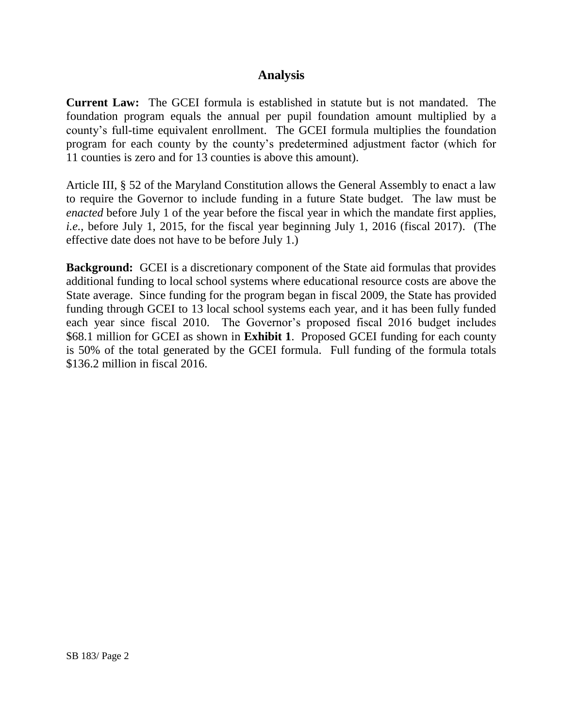## **Analysis**

**Current Law:** The GCEI formula is established in statute but is not mandated. The foundation program equals the annual per pupil foundation amount multiplied by a county's full-time equivalent enrollment. The GCEI formula multiplies the foundation program for each county by the county's predetermined adjustment factor (which for 11 counties is zero and for 13 counties is above this amount).

Article III, § 52 of the Maryland Constitution allows the General Assembly to enact a law to require the Governor to include funding in a future State budget. The law must be *enacted* before July 1 of the year before the fiscal year in which the mandate first applies, *i.e.*, before July 1, 2015, for the fiscal year beginning July 1, 2016 (fiscal 2017). (The effective date does not have to be before July 1.)

**Background:** GCEI is a discretionary component of the State aid formulas that provides additional funding to local school systems where educational resource costs are above the State average. Since funding for the program began in fiscal 2009, the State has provided funding through GCEI to 13 local school systems each year, and it has been fully funded each year since fiscal 2010. The Governor's proposed fiscal 2016 budget includes \$68.1 million for GCEI as shown in **Exhibit 1**. Proposed GCEI funding for each county is 50% of the total generated by the GCEI formula. Full funding of the formula totals \$136.2 million in fiscal 2016.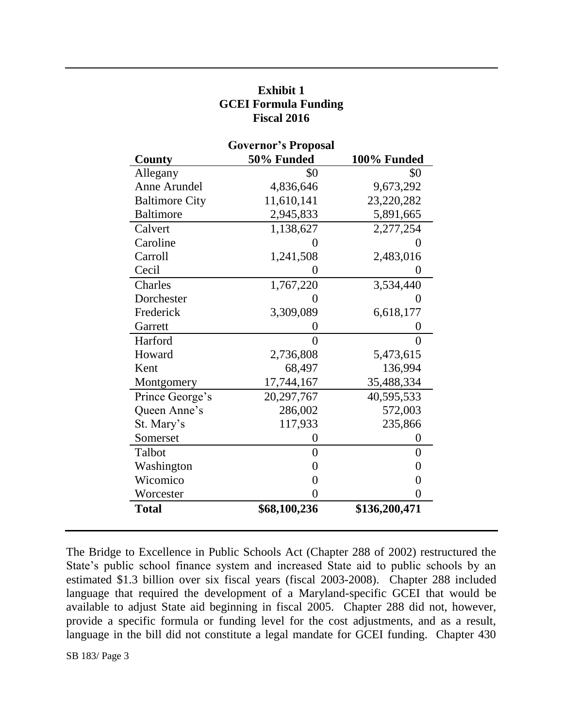| <b>Governor's Proposal</b> |                |                |  |  |
|----------------------------|----------------|----------------|--|--|
| County                     | 50% Funded     | 100% Funded    |  |  |
| Allegany                   | \$0            | \$0            |  |  |
| Anne Arundel               | 4,836,646      | 9,673,292      |  |  |
| <b>Baltimore City</b>      | 11,610,141     | 23,220,282     |  |  |
| <b>Baltimore</b>           | 2,945,833      | 5,891,665      |  |  |
| Calvert                    | 1,138,627      | 2,277,254      |  |  |
| Caroline                   | 0              | 0              |  |  |
| Carroll                    | 1,241,508      | 2,483,016      |  |  |
| Cecil                      | 0              | 0              |  |  |
| Charles                    | 1,767,220      | 3,534,440      |  |  |
| Dorchester                 |                | 0              |  |  |
| Frederick                  | 3,309,089      | 6,618,177      |  |  |
| Garrett                    | 0              | $\overline{0}$ |  |  |
| Harford                    | 0              | $\overline{0}$ |  |  |
| Howard                     | 2,736,808      | 5,473,615      |  |  |
| Kent                       | 68,497         | 136,994        |  |  |
| Montgomery                 | 17,744,167     | 35,488,334     |  |  |
| Prince George's            | 20,297,767     | 40,595,533     |  |  |
| Queen Anne's               | 286,002        | 572,003        |  |  |
| St. Mary's                 | 117,933        | 235,866        |  |  |
| Somerset                   | 0              | $\overline{0}$ |  |  |
| Talbot                     | $\overline{0}$ | $\overline{0}$ |  |  |
| Washington                 | $\overline{0}$ | $\overline{0}$ |  |  |
| Wicomico                   | 0              | $\overline{0}$ |  |  |
| Worcester                  | 0              | $\overline{0}$ |  |  |
| <b>Total</b>               | \$68,100,236   | \$136,200,471  |  |  |

# **Exhibit 1 GCEI Formula Funding Fiscal 2016**

The Bridge to Excellence in Public Schools Act (Chapter 288 of 2002) restructured the State's public school finance system and increased State aid to public schools by an estimated \$1.3 billion over six fiscal years (fiscal 2003-2008). Chapter 288 included language that required the development of a Maryland-specific GCEI that would be available to adjust State aid beginning in fiscal 2005. Chapter 288 did not, however, provide a specific formula or funding level for the cost adjustments, and as a result, language in the bill did not constitute a legal mandate for GCEI funding. Chapter 430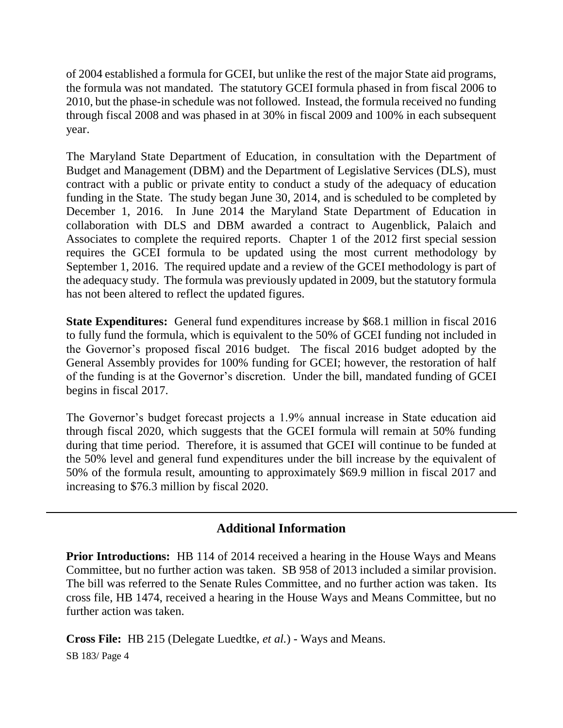of 2004 established a formula for GCEI, but unlike the rest of the major State aid programs, the formula was not mandated. The statutory GCEI formula phased in from fiscal 2006 to 2010, but the phase-in schedule was not followed. Instead, the formula received no funding through fiscal 2008 and was phased in at 30% in fiscal 2009 and 100% in each subsequent year.

The Maryland State Department of Education, in consultation with the Department of Budget and Management (DBM) and the Department of Legislative Services (DLS), must contract with a public or private entity to conduct a study of the adequacy of education funding in the State. The study began June 30, 2014, and is scheduled to be completed by December 1, 2016. In June 2014 the Maryland State Department of Education in collaboration with DLS and DBM awarded a contract to Augenblick, Palaich and Associates to complete the required reports. Chapter 1 of the 2012 first special session requires the GCEI formula to be updated using the most current methodology by September 1, 2016. The required update and a review of the GCEI methodology is part of the adequacy study. The formula was previously updated in 2009, but the statutory formula has not been altered to reflect the updated figures.

**State Expenditures:** General fund expenditures increase by \$68.1 million in fiscal 2016 to fully fund the formula, which is equivalent to the 50% of GCEI funding not included in the Governor's proposed fiscal 2016 budget. The fiscal 2016 budget adopted by the General Assembly provides for 100% funding for GCEI; however, the restoration of half of the funding is at the Governor's discretion. Under the bill, mandated funding of GCEI begins in fiscal 2017.

The Governor's budget forecast projects a 1.9% annual increase in State education aid through fiscal 2020, which suggests that the GCEI formula will remain at 50% funding during that time period. Therefore, it is assumed that GCEI will continue to be funded at the 50% level and general fund expenditures under the bill increase by the equivalent of 50% of the formula result, amounting to approximately \$69.9 million in fiscal 2017 and increasing to \$76.3 million by fiscal 2020.

## **Additional Information**

**Prior Introductions:** HB 114 of 2014 received a hearing in the House Ways and Means Committee, but no further action was taken. SB 958 of 2013 included a similar provision. The bill was referred to the Senate Rules Committee, and no further action was taken. Its cross file, HB 1474, received a hearing in the House Ways and Means Committee, but no further action was taken.

SB 183/ Page 4 **Cross File:** HB 215 (Delegate Luedtke, *et al.*) - Ways and Means.